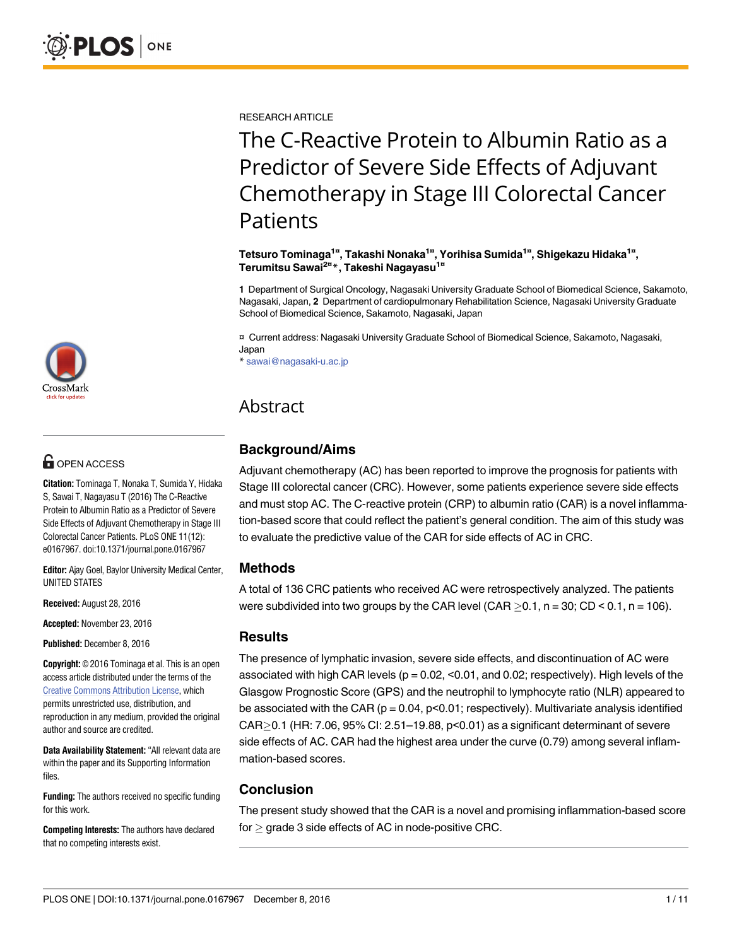

# **OPEN ACCESS**

**Citation:** Tominaga T, Nonaka T, Sumida Y, Hidaka S, Sawai T, Nagayasu T (2016) The C-Reactive Protein to Albumin Ratio as a Predictor of Severe Side Effects of Adjuvant Chemotherapy in Stage III Colorectal Cancer Patients. PLoS ONE 11(12): e0167967. doi:10.1371/journal.pone.0167967

**Editor:** Ajay Goel, Baylor University Medical Center, UNITED STATES

**Received:** August 28, 2016

**Accepted:** November 23, 2016

**Published:** December 8, 2016

**Copyright:** © 2016 Tominaga et al. This is an open access article distributed under the terms of the Creative Commons [Attribution](http://creativecommons.org/licenses/by/4.0/) License, which permits unrestricted use, distribution, and reproduction in any medium, provided the original author and source are credited.

**Data Availability Statement:**"All relevant data are within the paper and its Supporting Information files.

**Funding:** The authors received no specific funding for this work.

**Competing Interests:** The authors have declared that no competing interests exist.

RESEARCH ARTICLE

# The C-Reactive Protein to Albumin Ratio as a Predictor of Severe Side Effects of Adjuvant Chemotherapy in Stage III Colorectal Cancer **Patients**

**Tetsuro Tominaga1¤ , Takashi Nonaka1¤ , Yorihisa Sumida1¤ , Shigekazu Hidaka1¤ , Terumitsu Sawai2¤ \*, Takeshi Nagayasu1¤**

**1** Department of Surgical Oncology, Nagasaki University Graduate School of Biomedical Science, Sakamoto, Nagasaki, Japan, **2** Department of cardiopulmonary Rehabilitation Science, Nagasaki University Graduate School of Biomedical Science, Sakamoto, Nagasaki, Japan

¤ Current address: Nagasaki University Graduate School of Biomedical Science, Sakamoto, Nagasaki, Japan

\* sawai@nagasaki-u.ac.jp

## Abstract

### **Background/Aims**

Adjuvant chemotherapy (AC) has been reported to improve the prognosis for patients with Stage III colorectal cancer (CRC). However, some patients experience severe side effects and must stop AC. The C-reactive protein (CRP) to albumin ratio (CAR) is a novel inflammation-based score that could reflect the patient's general condition. The aim of this study was to evaluate the predictive value of the CAR for side effects of AC in CRC.

### **Methods**

A total of 136 CRC patients who received AC were retrospectively analyzed. The patients were subdivided into two groups by the CAR level (CAR  $> 0.1$ , n = 30; CD < 0.1, n = 106).

### **Results**

The presence of lymphatic invasion, severe side effects, and discontinuation of AC were associated with high CAR levels ( $p = 0.02$ , <0.01, and 0.02; respectively). High levels of the Glasgow Prognostic Score (GPS) and the neutrophil to lymphocyte ratio (NLR) appeared to be associated with the CAR ( $p = 0.04$ ,  $p < 0.01$ ; respectively). Multivariate analysis identified CAR $>$ 0.1 (HR: 7.06, 95% CI: 2.51–19.88, p $<$ 0.01) as a significant determinant of severe side effects of AC. CAR had the highest area under the curve (0.79) among several inflammation-based scores.

### **Conclusion**

The present study showed that the CAR is a novel and promising inflammation-based score for  $\geq$  grade 3 side effects of AC in node-positive CRC.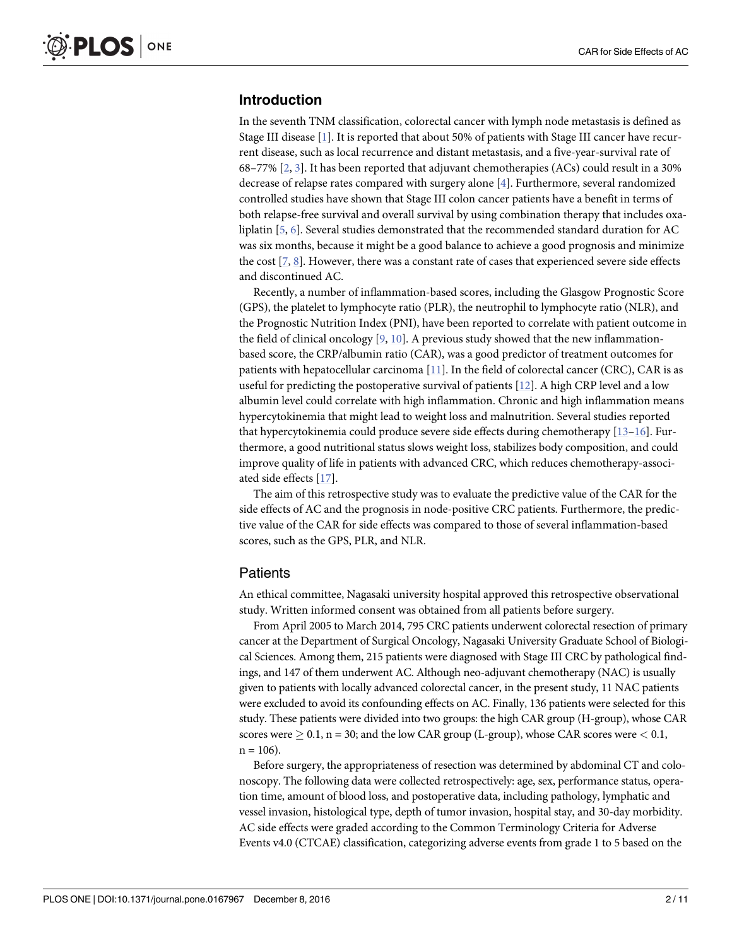### <span id="page-1-0"></span>**Introduction**

In the seventh TNM classification, colorectal cancer with lymph node metastasis is defined as Stage III disease [\[1\]](#page-8-0). It is reported that about 50% of patients with Stage III cancer have recurrent disease, such as local recurrence and distant metastasis, and a five-year-survival rate of 68–77% [\[2](#page-8-0), [3](#page-8-0)]. It has been reported that adjuvant chemotherapies (ACs) could result in a 30% decrease of relapse rates compared with surgery alone [[4\]](#page-8-0). Furthermore, several randomized controlled studies have shown that Stage III colon cancer patients have a benefit in terms of both relapse-free survival and overall survival by using combination therapy that includes oxaliplatin [[5,](#page-8-0) [6\]](#page-8-0). Several studies demonstrated that the recommended standard duration for AC was six months, because it might be a good balance to achieve a good prognosis and minimize the cost [\[7,](#page-8-0) [8](#page-9-0)]. However, there was a constant rate of cases that experienced severe side effects and discontinued AC.

Recently, a number of inflammation-based scores, including the Glasgow Prognostic Score (GPS), the platelet to lymphocyte ratio (PLR), the neutrophil to lymphocyte ratio (NLR), and the Prognostic Nutrition Index (PNI), have been reported to correlate with patient outcome in the field of clinical oncology  $[9, 10]$  $[9, 10]$  $[9, 10]$  $[9, 10]$  $[9, 10]$ . A previous study showed that the new inflammationbased score, the CRP/albumin ratio (CAR), was a good predictor of treatment outcomes for patients with hepatocellular carcinoma [\[11\]](#page-9-0). In the field of colorectal cancer (CRC), CAR is as useful for predicting the postoperative survival of patients [\[12\]](#page-9-0). A high CRP level and a low albumin level could correlate with high inflammation. Chronic and high inflammation means hypercytokinemia that might lead to weight loss and malnutrition. Several studies reported that hypercytokinemia could produce severe side effects during chemotherapy [\[13–16](#page-9-0)]. Furthermore, a good nutritional status slows weight loss, stabilizes body composition, and could improve quality of life in patients with advanced CRC, which reduces chemotherapy-associated side effects [[17](#page-9-0)].

The aim of this retrospective study was to evaluate the predictive value of the CAR for the side effects of AC and the prognosis in node-positive CRC patients. Furthermore, the predictive value of the CAR for side effects was compared to those of several inflammation-based scores, such as the GPS, PLR, and NLR.

### **Patients**

An ethical committee, Nagasaki university hospital approved this retrospective observational study. Written informed consent was obtained from all patients before surgery.

From April 2005 to March 2014, 795 CRC patients underwent colorectal resection of primary cancer at the Department of Surgical Oncology, Nagasaki University Graduate School of Biological Sciences. Among them, 215 patients were diagnosed with Stage III CRC by pathological findings, and 147 of them underwent AC. Although neo-adjuvant chemotherapy (NAC) is usually given to patients with locally advanced colorectal cancer, in the present study, 11 NAC patients were excluded to avoid its confounding effects on AC. Finally, 136 patients were selected for this study. These patients were divided into two groups: the high CAR group (H-group), whose CAR scores were  $\geq 0.1$ , n = 30; and the low CAR group (L-group), whose CAR scores were  $\leq 0.1$ ,  $n = 106$ ).

Before surgery, the appropriateness of resection was determined by abdominal CT and colonoscopy. The following data were collected retrospectively: age, sex, performance status, operation time, amount of blood loss, and postoperative data, including pathology, lymphatic and vessel invasion, histological type, depth of tumor invasion, hospital stay, and 30-day morbidity. AC side effects were graded according to the Common Terminology Criteria for Adverse Events v4.0 (CTCAE) classification, categorizing adverse events from grade 1 to 5 based on the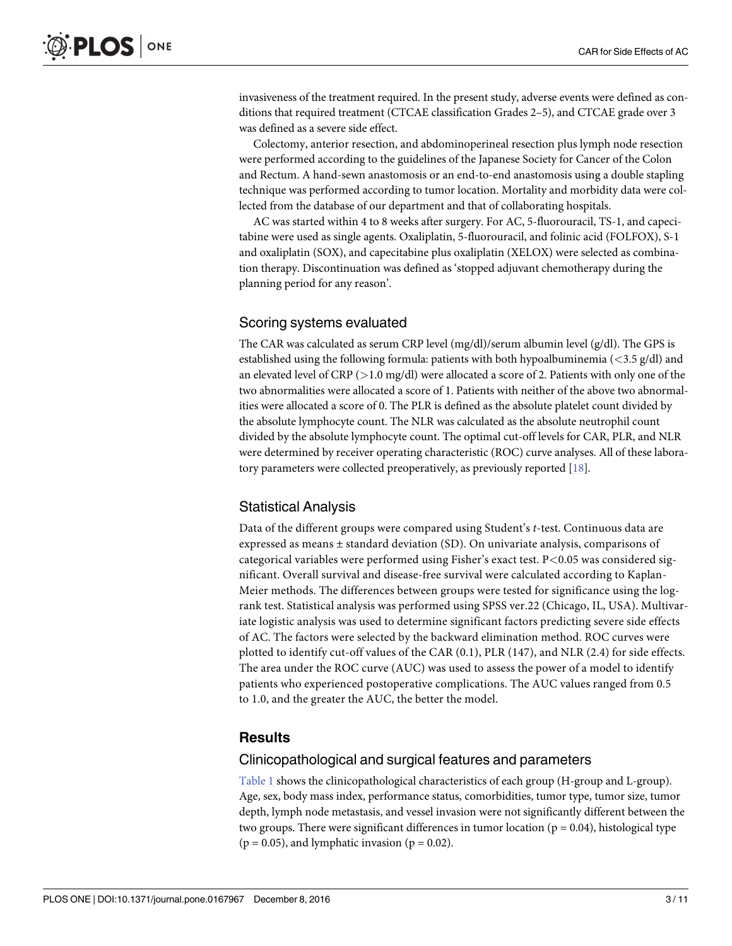<span id="page-2-0"></span>invasiveness of the treatment required. In the present study, adverse events were defined as conditions that required treatment (CTCAE classification Grades 2–5), and CTCAE grade over 3 was defined as a severe side effect.

Colectomy, anterior resection, and abdominoperineal resection plus lymph node resection were performed according to the guidelines of the Japanese Society for Cancer of the Colon and Rectum. A hand-sewn anastomosis or an end-to-end anastomosis using a double stapling technique was performed according to tumor location. Mortality and morbidity data were collected from the database of our department and that of collaborating hospitals.

AC was started within 4 to 8 weeks after surgery. For AC, 5-fluorouracil, TS-1, and capecitabine were used as single agents. Oxaliplatin, 5-fluorouracil, and folinic acid (FOLFOX), S-1 and oxaliplatin (SOX), and capecitabine plus oxaliplatin (XELOX) were selected as combination therapy. Discontinuation was defined as 'stopped adjuvant chemotherapy during the planning period for any reason'.

### Scoring systems evaluated

The CAR was calculated as serum CRP level  $(mg/dl)/$ serum albumin level  $(g/dl)$ . The GPS is established using the following formula: patients with both hypoalbuminemia (*<*3.5 g/dl) and an elevated level of CRP (*>*1.0 mg/dl) were allocated a score of 2. Patients with only one of the two abnormalities were allocated a score of 1. Patients with neither of the above two abnormalities were allocated a score of 0. The PLR is defined as the absolute platelet count divided by the absolute lymphocyte count. The NLR was calculated as the absolute neutrophil count divided by the absolute lymphocyte count. The optimal cut-off levels for CAR, PLR, and NLR were determined by receiver operating characteristic (ROC) curve analyses. All of these laboratory parameters were collected preoperatively, as previously reported [\[18\]](#page-9-0).

### Statistical Analysis

Data of the different groups were compared using Student's *t*-test. Continuous data are expressed as means ± standard deviation (SD). On univariate analysis, comparisons of categorical variables were performed using Fisher's exact test. P*<*0.05 was considered significant. Overall survival and disease-free survival were calculated according to Kaplan-Meier methods. The differences between groups were tested for significance using the logrank test. Statistical analysis was performed using SPSS ver.22 (Chicago, IL, USA). Multivariate logistic analysis was used to determine significant factors predicting severe side effects of AC. The factors were selected by the backward elimination method. ROC curves were plotted to identify cut-off values of the CAR (0.1), PLR (147), and NLR (2.4) for side effects. The area under the ROC curve (AUC) was used to assess the power of a model to identify patients who experienced postoperative complications. The AUC values ranged from 0.5 to 1.0, and the greater the AUC, the better the model.

### **Results**

### Clinicopathological and surgical features and parameters

[Table](#page-3-0) 1 shows the clinicopathological characteristics of each group (H-group and L-group). Age, sex, body mass index, performance status, comorbidities, tumor type, tumor size, tumor depth, lymph node metastasis, and vessel invasion were not significantly different between the two groups. There were significant differences in tumor location ( $p = 0.04$ ), histological type  $(p = 0.05)$ , and lymphatic invasion  $(p = 0.02)$ .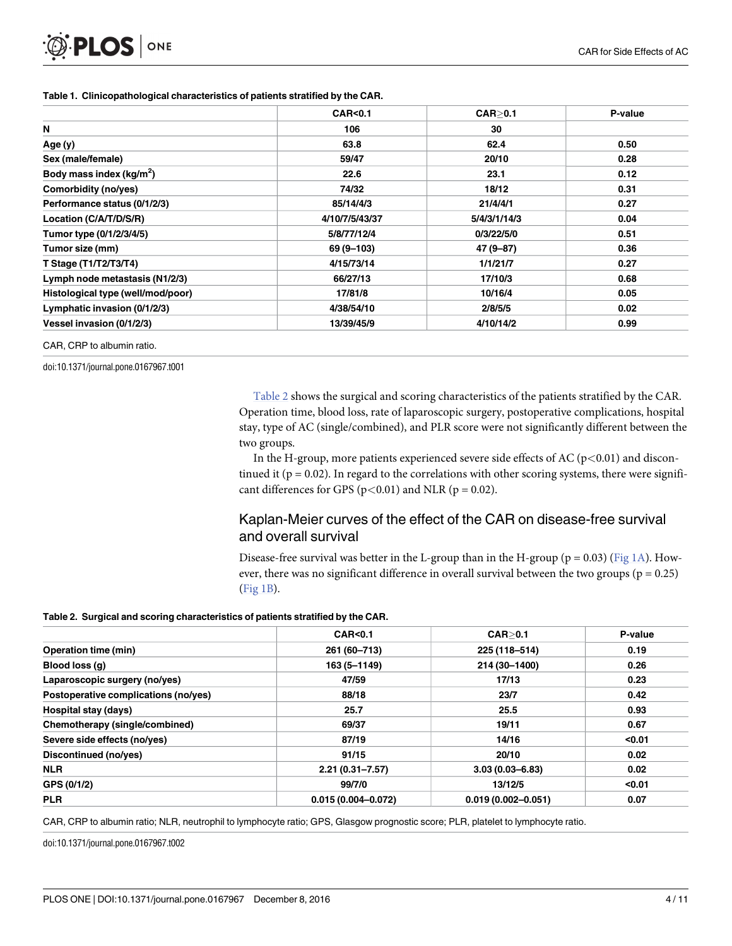|                                      | <b>CAR&lt;0.1</b> | CAR > 0.1    | P-value |
|--------------------------------------|-------------------|--------------|---------|
| N                                    | 106               | 30           |         |
| Age (y)                              | 63.8              | 62.4         | 0.50    |
| Sex (male/female)                    | 59/47             | 20/10        | 0.28    |
| Body mass index (kg/m <sup>2</sup> ) | 22.6              | 23.1         | 0.12    |
| Comorbidity (no/yes)                 | 74/32             | 18/12        | 0.31    |
| Performance status (0/1/2/3)         | 85/14/4/3         | 21/4/4/1     | 0.27    |
| Location (C/A/T/D/S/R)               | 4/10/7/5/43/37    | 5/4/3/1/14/3 | 0.04    |
| Tumor type (0/1/2/3/4/5)             | 5/8/77/12/4       | 0/3/22/5/0   | 0.51    |
| Tumor size (mm)                      | 69 (9-103)        | 47 (9-87)    | 0.36    |
| T Stage (T1/T2/T3/T4)                | 4/15/73/14        | 1/1/21/7     | 0.27    |
| Lymph node metastasis (N1/2/3)       | 66/27/13          | 17/10/3      | 0.68    |
| Histological type (well/mod/poor)    | 17/81/8           | 10/16/4      | 0.05    |
| Lymphatic invasion (0/1/2/3)         | 4/38/54/10        | 2/8/5/5      | 0.02    |
| Vessel invasion (0/1/2/3)            | 13/39/45/9        | 4/10/14/2    | 0.99    |

#### <span id="page-3-0"></span>**[Table](#page-2-0) 1. Clinicopathological characteristics of patients stratified by the CAR.**

CAR, CRP to albumin ratio.

doi:10.1371/journal.pone.0167967.t001

Table 2 shows the surgical and scoring characteristics of the patients stratified by the CAR. Operation time, blood loss, rate of laparoscopic surgery, postoperative complications, hospital stay, type of AC (single/combined), and PLR score were not significantly different between the two groups.

In the H-group, more patients experienced severe side effects of AC (p*<*0.01) and discontinued it ( $p = 0.02$ ). In regard to the correlations with other scoring systems, there were significant differences for GPS ( $p$ <0.01) and NLR ( $p$  = 0.02).

### Kaplan-Meier curves of the effect of the CAR on disease-free survival and overall survival

Disease-free survival was better in the L-group than in the H-group ( $p = 0.03$ ) ([Fig](#page-4-0) 1A). However, there was no significant difference in overall survival between the two groups ( $p = 0.25$ ) [\(Fig](#page-4-0) 1B).

#### **Table 2. Surgical and scoring characteristics of patients stratified by the CAR.**

|                                      | <b>CAR&lt;0.1</b>      | CAR > 0.1              | P-value |
|--------------------------------------|------------------------|------------------------|---------|
| <b>Operation time (min)</b>          | 261 (60-713)           | 225 (118-514)          | 0.19    |
| Blood loss (q)                       | 163 (5-1149)           | 214 (30-1400)          | 0.26    |
| Laparoscopic surgery (no/yes)        | 47/59                  | 17/13                  | 0.23    |
| Postoperative complications (no/yes) | 88/18                  | 23/7                   | 0.42    |
| Hospital stay (days)                 | 25.7                   | 25.5                   | 0.93    |
| Chemotherapy (single/combined)       | 69/37                  | 19/11                  | 0.67    |
| Severe side effects (no/yes)         | 87/19                  | 14/16                  | < 0.01  |
| Discontinued (no/yes)                | 91/15                  | 20/10                  | 0.02    |
| <b>NLR</b>                           | $2.21(0.31 - 7.57)$    | $3.03(0.03 - 6.83)$    | 0.02    |
| GPS (0/1/2)                          | 99/7/0                 | 13/12/5                | < 0.01  |
| <b>PLR</b>                           | $0.015(0.004 - 0.072)$ | $0.019(0.002 - 0.051)$ | 0.07    |

CAR, CRP to albumin ratio; NLR, neutrophil to lymphocyte ratio; GPS, Glasgow prognostic score; PLR, platelet to lymphocyte ratio.

doi:10.1371/journal.pone.0167967.t002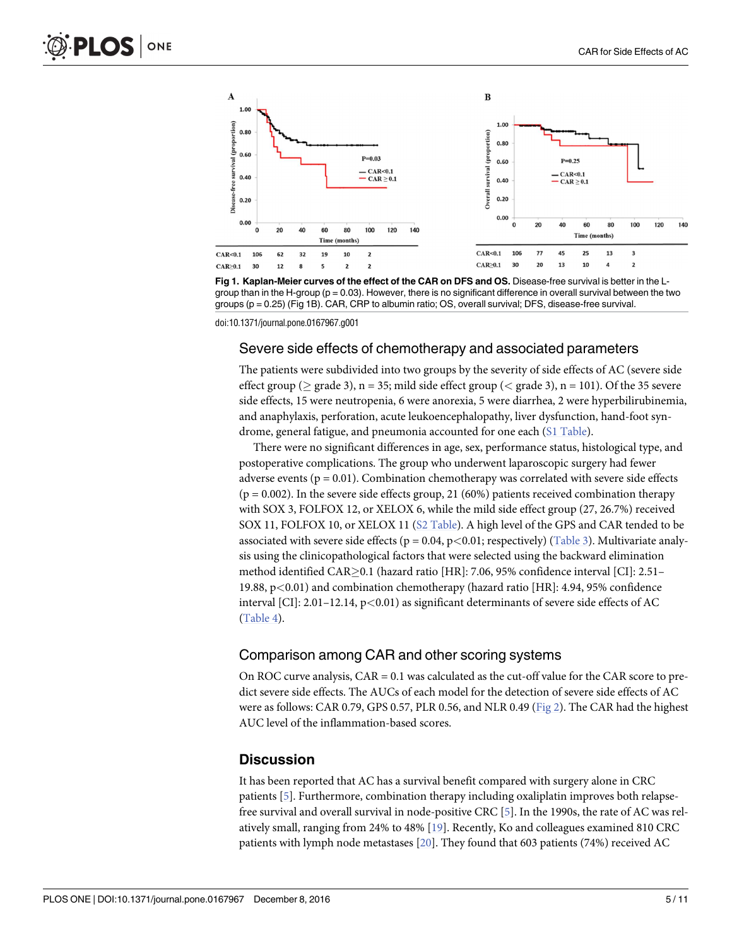<span id="page-4-0"></span>



doi:10.1371/journal.pone.0167967.g001

### Severe side effects of chemotherapy and associated parameters

The patients were subdivided into two groups by the severity of side effects of AC (severe side effect group ( $\geq$  grade 3), n = 35; mild side effect group ( $\lt$  grade 3), n = 101). Of the 35 severe side effects, 15 were neutropenia, 6 were anorexia, 5 were diarrhea, 2 were hyperbilirubinemia, and anaphylaxis, perforation, acute leukoencephalopathy, liver dysfunction, hand-foot syndrome, general fatigue, and pneumonia accounted for one each (S1 [Table\)](#page-8-0).

There were no significant differences in age, sex, performance status, histological type, and postoperative complications. The group who underwent laparoscopic surgery had fewer adverse events ( $p = 0.01$ ). Combination chemotherapy was correlated with severe side effects  $(p = 0.002)$ . In the severe side effects group, 21 (60%) patients received combination therapy with SOX 3, FOLFOX 12, or XELOX 6, while the mild side effect group (27, 26.7%) received SOX 11, FOLFOX 10, or XELOX 11 (S2 [Table](#page-8-0)). A high level of the GPS and CAR tended to be associated with severe side effects (p = 0.04, p*<*0.01; respectively) [\(Table](#page-5-0) 3). Multivariate analysis using the clinicopathological factors that were selected using the backward elimination method identified CAR>0.1 (hazard ratio [HR]: 7.06, 95% confidence interval [CI]: 2.51– 19.88, p*<*0.01) and combination chemotherapy (hazard ratio [HR]: 4.94, 95% confidence interval [CI]: 2.01–12.14, p*<*0.01) as significant determinants of severe side effects of AC [\(Table](#page-5-0) 4).

### Comparison among CAR and other scoring systems

On ROC curve analysis, CAR = 0.1 was calculated as the cut-off value for the CAR score to predict severe side effects. The AUCs of each model for the detection of severe side effects of AC were as follows: CAR 0.79, GPS 0.57, PLR 0.56, and NLR 0.49 [\(Fig](#page-6-0) 2). The CAR had the highest AUC level of the inflammation-based scores.

### **Discussion**

It has been reported that AC has a survival benefit compared with surgery alone in CRC patients [\[5\]](#page-8-0). Furthermore, combination therapy including oxaliplatin improves both relapsefree survival and overall survival in node-positive CRC [\[5\]](#page-8-0). In the 1990s, the rate of AC was relatively small, ranging from 24% to 48% [[19](#page-9-0)]. Recently, Ko and colleagues examined 810 CRC patients with lymph node metastases [\[20\]](#page-9-0). They found that 603 patients (74%) received AC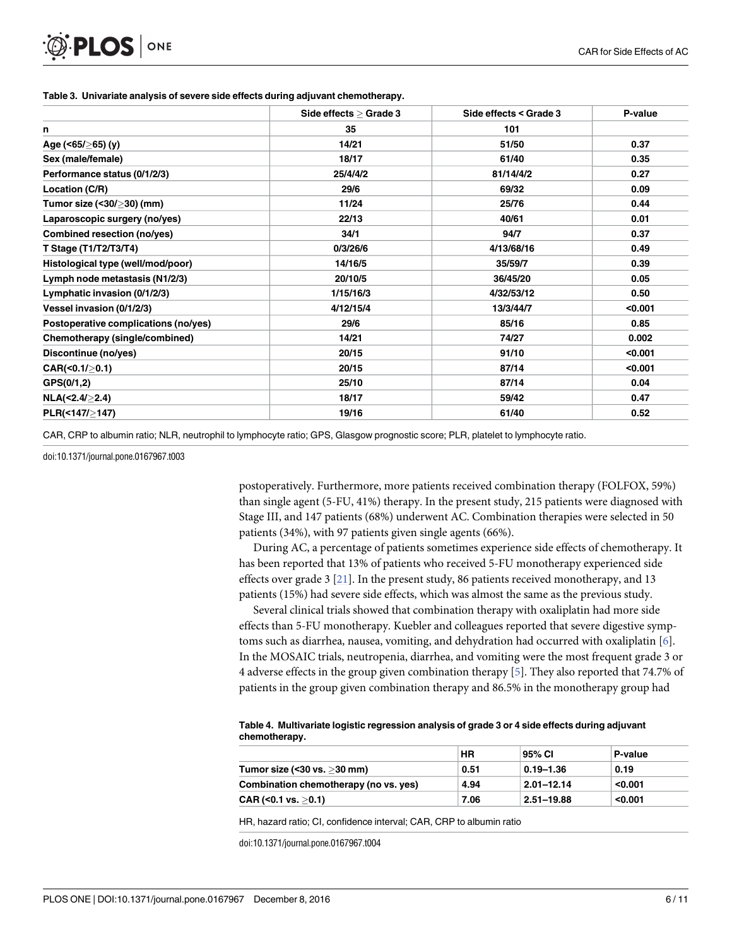|                                      | Side effects > Grade 3 | Side effects < Grade 3 | P-value |
|--------------------------------------|------------------------|------------------------|---------|
| n                                    | 35                     | 101                    |         |
| Age (<65/≥65) (y)                    | 14/21                  | 51/50                  | 0.37    |
| Sex (male/female)                    | 18/17                  | 61/40                  | 0.35    |
| Performance status (0/1/2/3)         | 25/4/4/2               | 81/14/4/2              | 0.27    |
| Location (C/R)                       | 29/6                   | 69/32                  | 0.09    |
| Tumor size (<30/>30) (mm)            | 11/24                  | 25/76                  | 0.44    |
| Laparoscopic surgery (no/yes)        | 22/13                  | 40/61                  | 0.01    |
| Combined resection (no/yes)          | 34/1                   | 94/7                   | 0.37    |
| T Stage (T1/T2/T3/T4)                | 0/3/26/6               | 4/13/68/16             | 0.49    |
| Histological type (well/mod/poor)    | 14/16/5                | 35/59/7                | 0.39    |
| Lymph node metastasis (N1/2/3)       | 20/10/5                | 36/45/20               | 0.05    |
| Lymphatic invasion (0/1/2/3)         | 1/15/16/3              | 4/32/53/12             | 0.50    |
| Vessel invasion (0/1/2/3)            | 4/12/15/4              | 13/3/44/7              | $0.001$ |
| Postoperative complications (no/yes) | 29/6                   | 85/16                  | 0.85    |
| Chemotherapy (single/combined)       | 14/21                  | 74/27                  | 0.002   |
| Discontinue (no/yes)                 | 20/15                  | 91/10                  | < 0.001 |
| CAR(<0.1/>0.1)                       | 20/15                  | 87/14                  | < 0.001 |
| GPS(0/1,2)                           | 25/10                  | 87/14                  | 0.04    |
| NLA(<2.4/≥2.4)                       | 18/17                  | 59/42                  | 0.47    |
| PLR(<147/>147)                       | 19/16                  | 61/40                  | 0.52    |

#### <span id="page-5-0"></span>**[Table](#page-4-0) 3. Univariate analysis of severe side effects during adjuvant chemotherapy.**

CAR, CRP to albumin ratio; NLR, neutrophil to lymphocyte ratio; GPS, Glasgow prognostic score; PLR, platelet to lymphocyte ratio.

doi:10.1371/journal.pone.0167967.t003

postoperatively. Furthermore, more patients received combination therapy (FOLFOX, 59%) than single agent (5-FU, 41%) therapy. In the present study, 215 patients were diagnosed with Stage III, and 147 patients (68%) underwent AC. Combination therapies were selected in 50 patients (34%), with 97 patients given single agents (66%).

During AC, a percentage of patients sometimes experience side effects of chemotherapy. It has been reported that 13% of patients who received 5-FU monotherapy experienced side effects over grade 3 [[21](#page-9-0)]. In the present study, 86 patients received monotherapy, and 13 patients (15%) had severe side effects, which was almost the same as the previous study.

Several clinical trials showed that combination therapy with oxaliplatin had more side effects than 5-FU monotherapy. Kuebler and colleagues reported that severe digestive symptoms such as diarrhea, nausea, vomiting, and dehydration had occurred with oxaliplatin [[6](#page-8-0)]. In the MOSAIC trials, neutropenia, diarrhea, and vomiting were the most frequent grade 3 or 4 adverse effects in the group given combination therapy [[5](#page-8-0)]. They also reported that 74.7% of patients in the group given combination therapy and 86.5% in the monotherapy group had

| Table 4. Multivariate logistic regression analysis of grade 3 or 4 side effects during adjuvant |  |
|-------------------------------------------------------------------------------------------------|--|
| chemotherapy.                                                                                   |  |

|                                       | <b>HR</b> | 95% CI         | P-value |
|---------------------------------------|-----------|----------------|---------|
| Tumor size (< $30$ vs. $>30$ mm)      | 0.51      | $0.19 - 1.36$  | 0.19    |
| Combination chemotherapy (no vs. yes) | 4.94      | $2.01 - 12.14$ | < 0.001 |
| CAR (< $0.1$ vs. $>0.1$ )             | 7.06      | 2.51-19.88     | < 0.001 |

HR, hazard ratio; CI, confidence interval; CAR, CRP to albumin ratio

doi:10.1371/journal.pone.0167967.t004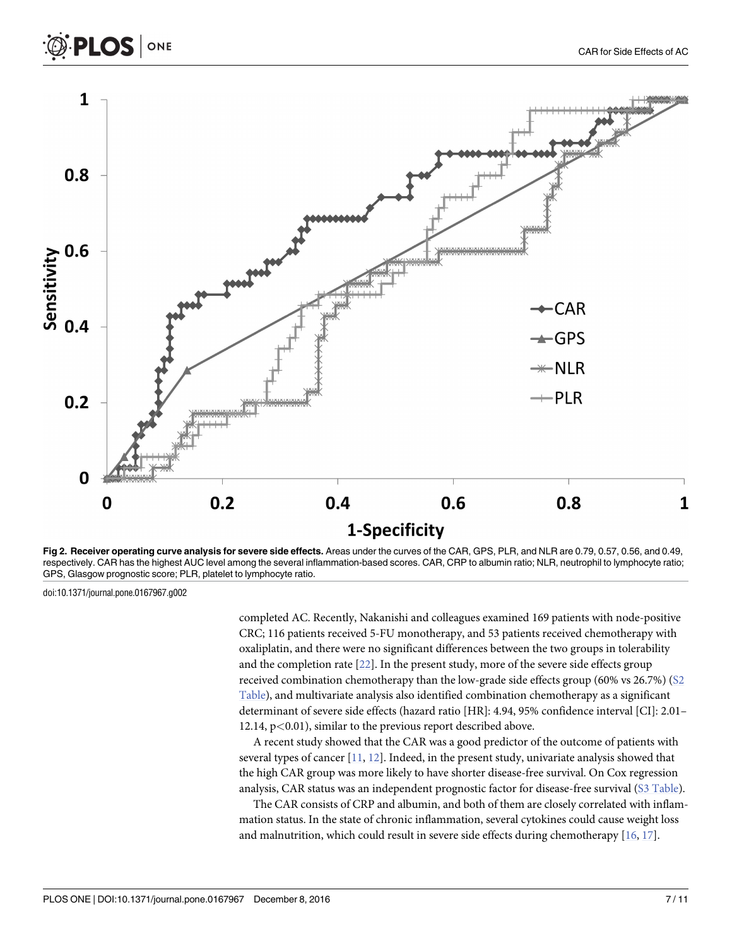<span id="page-6-0"></span>

**[Fig](#page-4-0) 2. Receiver operating curve analysis for severe side effects.** Areas under the curves of the CAR, GPS, PLR, and NLR are 0.79, 0.57, 0.56, and 0.49, respectively. CAR has the highest AUC level among the several inflammation-based scores. CAR, CRP to albumin ratio; NLR, neutrophil to lymphocyte ratio; GPS, Glasgow prognostic score; PLR, platelet to lymphocyte ratio.

doi:10.1371/journal.pone.0167967.g002

completed AC. Recently, Nakanishi and colleagues examined 169 patients with node-positive CRC; 116 patients received 5-FU monotherapy, and 53 patients received chemotherapy with oxaliplatin, and there were no significant differences between the two groups in tolerability and the completion rate [[22](#page-9-0)]. In the present study, more of the severe side effects group received combination chemotherapy than the low-grade side effects group (60% vs 26.7%) [\(S2](#page-8-0) [Table](#page-8-0)), and multivariate analysis also identified combination chemotherapy as a significant determinant of severe side effects (hazard ratio [HR]: 4.94, 95% confidence interval [CI]: 2.01– 12.14, p*<*0.01), similar to the previous report described above.

A recent study showed that the CAR was a good predictor of the outcome of patients with several types of cancer [\[11,](#page-9-0) [12\]](#page-9-0). Indeed, in the present study, univariate analysis showed that the high CAR group was more likely to have shorter disease-free survival. On Cox regression analysis, CAR status was an independent prognostic factor for disease-free survival (S3 [Table\)](#page-8-0).

The CAR consists of CRP and albumin, and both of them are closely correlated with inflammation status. In the state of chronic inflammation, several cytokines could cause weight loss and malnutrition, which could result in severe side effects during chemotherapy [\[16,](#page-9-0) [17\]](#page-9-0).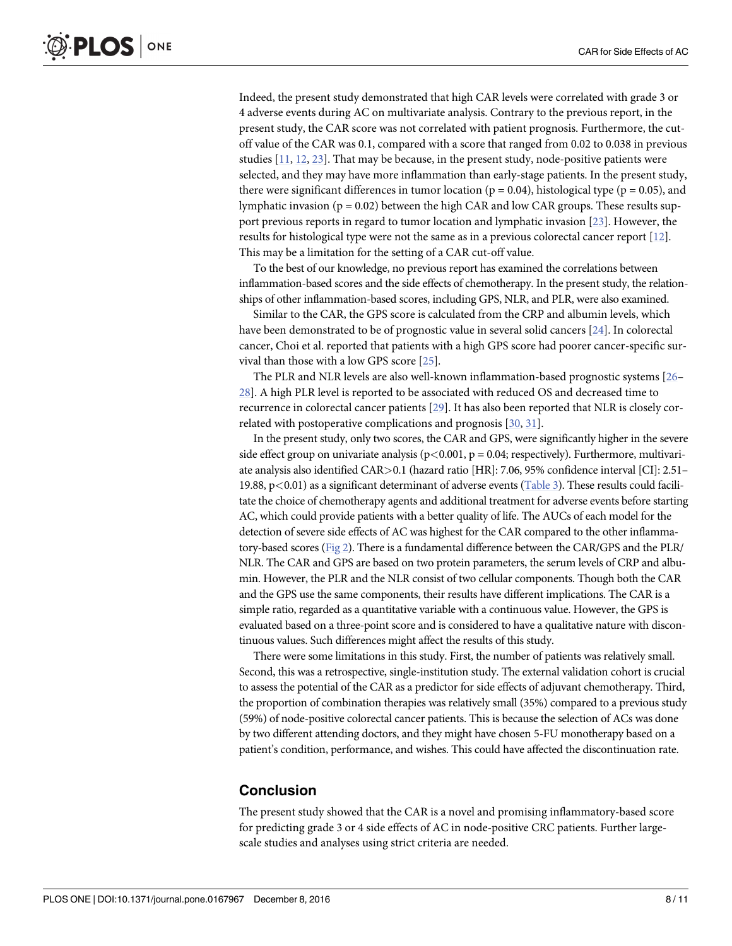<span id="page-7-0"></span>Indeed, the present study demonstrated that high CAR levels were correlated with grade 3 or 4 adverse events during AC on multivariate analysis. Contrary to the previous report, in the present study, the CAR score was not correlated with patient prognosis. Furthermore, the cutoff value of the CAR was 0.1, compared with a score that ranged from 0.02 to 0.038 in previous studies [\[11,](#page-9-0) [12,](#page-9-0) [23\]](#page-9-0). That may be because, in the present study, node-positive patients were selected, and they may have more inflammation than early-stage patients. In the present study, there were significant differences in tumor location ( $p = 0.04$ ), histological type ( $p = 0.05$ ), and lymphatic invasion ( $p = 0.02$ ) between the high CAR and low CAR groups. These results support previous reports in regard to tumor location and lymphatic invasion [[23](#page-9-0)]. However, the results for histological type were not the same as in a previous colorectal cancer report [[12](#page-9-0)]. This may be a limitation for the setting of a CAR cut-off value.

To the best of our knowledge, no previous report has examined the correlations between inflammation-based scores and the side effects of chemotherapy. In the present study, the relationships of other inflammation-based scores, including GPS, NLR, and PLR, were also examined.

Similar to the CAR, the GPS score is calculated from the CRP and albumin levels, which have been demonstrated to be of prognostic value in several solid cancers [[24](#page-9-0)]. In colorectal cancer, Choi et al. reported that patients with a high GPS score had poorer cancer-specific survival than those with a low GPS score [[25](#page-9-0)].

The PLR and NLR levels are also well-known inflammation-based prognostic systems [\[26–](#page-9-0) [28\]](#page-10-0). A high PLR level is reported to be associated with reduced OS and decreased time to recurrence in colorectal cancer patients [\[29\]](#page-10-0). It has also been reported that NLR is closely correlated with postoperative complications and prognosis [[30](#page-10-0), [31](#page-10-0)].

In the present study, only two scores, the CAR and GPS, were significantly higher in the severe side effect group on univariate analysis ( $p$ <0.001,  $p$  = 0.04; respectively). Furthermore, multivariate analysis also identified CAR*>*0.1 (hazard ratio [HR]: 7.06, 95% confidence interval [CI]: 2.51– 19.88, p*<*0.01) as a significant determinant of adverse events ([Table](#page-5-0) 3). These results could facilitate the choice of chemotherapy agents and additional treatment for adverse events before starting AC, which could provide patients with a better quality of life. The AUCs of each model for the detection of severe side effects of AC was highest for the CAR compared to the other inflammatory-based scores [\(Fig](#page-6-0) 2). There is a fundamental difference between the CAR/GPS and the PLR/ NLR. The CAR and GPS are based on two protein parameters, the serum levels of CRP and albumin. However, the PLR and the NLR consist of two cellular components. Though both the CAR and the GPS use the same components, their results have different implications. The CAR is a simple ratio, regarded as a quantitative variable with a continuous value. However, the GPS is evaluated based on a three-point score and is considered to have a qualitative nature with discontinuous values. Such differences might affect the results of this study.

There were some limitations in this study. First, the number of patients was relatively small. Second, this was a retrospective, single-institution study. The external validation cohort is crucial to assess the potential of the CAR as a predictor for side effects of adjuvant chemotherapy. Third, the proportion of combination therapies was relatively small (35%) compared to a previous study (59%) of node-positive colorectal cancer patients. This is because the selection of ACs was done by two different attending doctors, and they might have chosen 5-FU monotherapy based on a patient's condition, performance, and wishes. This could have affected the discontinuation rate.

### **Conclusion**

The present study showed that the CAR is a novel and promising inflammatory-based score for predicting grade 3 or 4 side effects of AC in node-positive CRC patients. Further largescale studies and analyses using strict criteria are needed.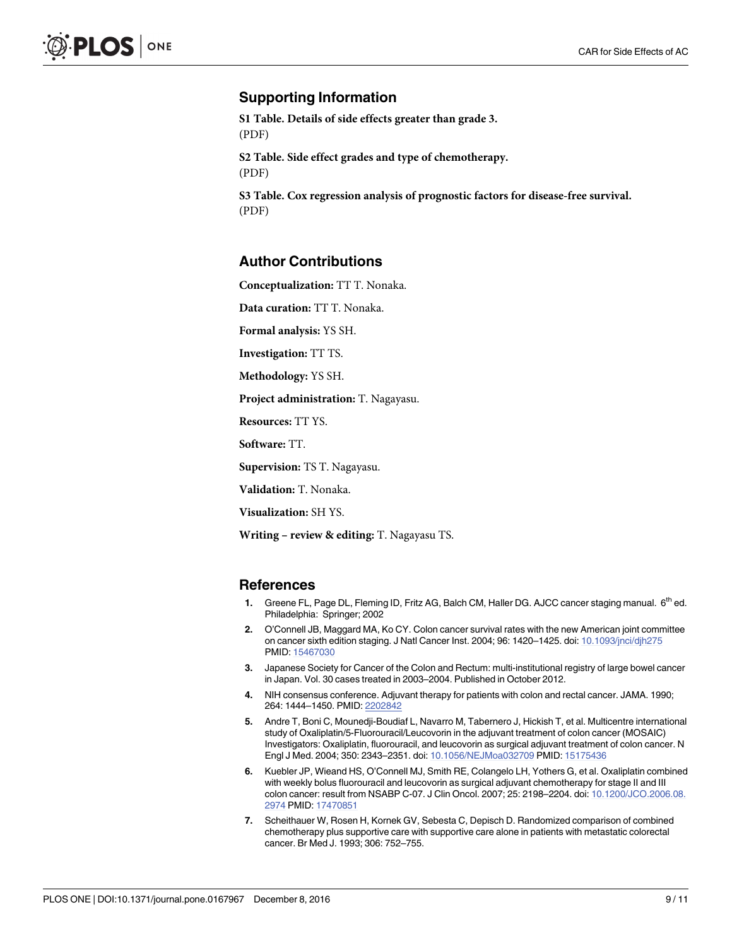### <span id="page-8-0"></span>**Supporting Information**

**S1 [Table.](http://www.plosone.org/article/fetchSingleRepresentation.action?uri=info:doi/10.1371/journal.pone.0167967.s001) Details of side effects greater than grade 3.** (PDF)

**S2 [Table.](http://www.plosone.org/article/fetchSingleRepresentation.action?uri=info:doi/10.1371/journal.pone.0167967.s002) Side effect grades and type of chemotherapy.** (PDF)

**S3 [Table.](http://www.plosone.org/article/fetchSingleRepresentation.action?uri=info:doi/10.1371/journal.pone.0167967.s003) Cox regression analysis of prognostic factors for disease-free survival.** (PDF)

### **Author Contributions**

**Conceptualization:** TT T. Nonaka.

**Data curation:** TT T. Nonaka.

**Formal analysis:** YS SH.

**Investigation:** TT TS.

**Methodology:** YS SH.

**Project administration:** T. Nagayasu.

**Resources:** TT YS.

**Software:** TT.

**Supervision:** TS T. Nagayasu.

**Validation:** T. Nonaka.

**Visualization:** SH YS.

**Writing – review & editing:** T. Nagayasu TS.

#### **References**

- **[1](#page-1-0).** Greene FL, Page DL, Fleming ID, Fritz AG, Balch CM, Haller DG. AJCC cancer staging manual. 6th ed. Philadelphia: Springer; 2002
- **[2](#page-1-0).** O'Connell JB, Maggard MA, Ko CY. Colon cancer survival rates with the new American joint committee on cancer sixth edition staging. J Natl Cancer Inst. 2004; 96: 1420–1425. doi: [10.1093/jnci/djh275](http://dx.doi.org/10.1093/jnci/djh275) PMID: [15467030](http://www.ncbi.nlm.nih.gov/pubmed/15467030)
- **[3](#page-1-0).** Japanese Society for Cancer of the Colon and Rectum: multi-institutional registry of large bowel cancer in Japan. Vol. 30 cases treated in 2003–2004. Published in October 2012.
- **[4](#page-1-0).** NIH consensus conference. Adjuvant therapy for patients with colon and rectal cancer. JAMA. 1990; 264: 1444–1450. PMID: [2202842](http://www.ncbi.nlm.nih.gov/pubmed/2202842)
- **[5](#page-1-0).** Andre T, Boni C, Mounedji-Boudiaf L, Navarro M, Tabernero J, Hickish T, et al. Multicentre international study of Oxaliplatin/5-Fluorouracil/Leucovorin in the adjuvant treatment of colon cancer (MOSAIC) Investigators: Oxaliplatin, fluorouracil, and leucovorin as surgical adjuvant treatment of colon cancer. N Engl J Med. 2004; 350: 2343–2351. doi: [10.1056/NEJMoa032709](http://dx.doi.org/10.1056/NEJMoa032709) PMID: [15175436](http://www.ncbi.nlm.nih.gov/pubmed/15175436)
- **[6](#page-1-0).** Kuebler JP, Wieand HS, O'Connell MJ, Smith RE, Colangelo LH, Yothers G, et al. Oxaliplatin combined with weekly bolus fluorouracil and leucovorin as surgical adjuvant chemotherapy for stage II and III colon cancer: result from NSABP C-07. J Clin Oncol. 2007; 25: 2198–2204. doi: [10.1200/JCO.2006.08.](http://dx.doi.org/10.1200/JCO.2006.08.2974) [2974](http://dx.doi.org/10.1200/JCO.2006.08.2974) PMID: [17470851](http://www.ncbi.nlm.nih.gov/pubmed/17470851)
- **[7](#page-1-0).** Scheithauer W, Rosen H, Kornek GV, Sebesta C, Depisch D. Randomized comparison of combined chemotherapy plus supportive care with supportive care alone in patients with metastatic colorectal cancer. Br Med J. 1993; 306: 752–755.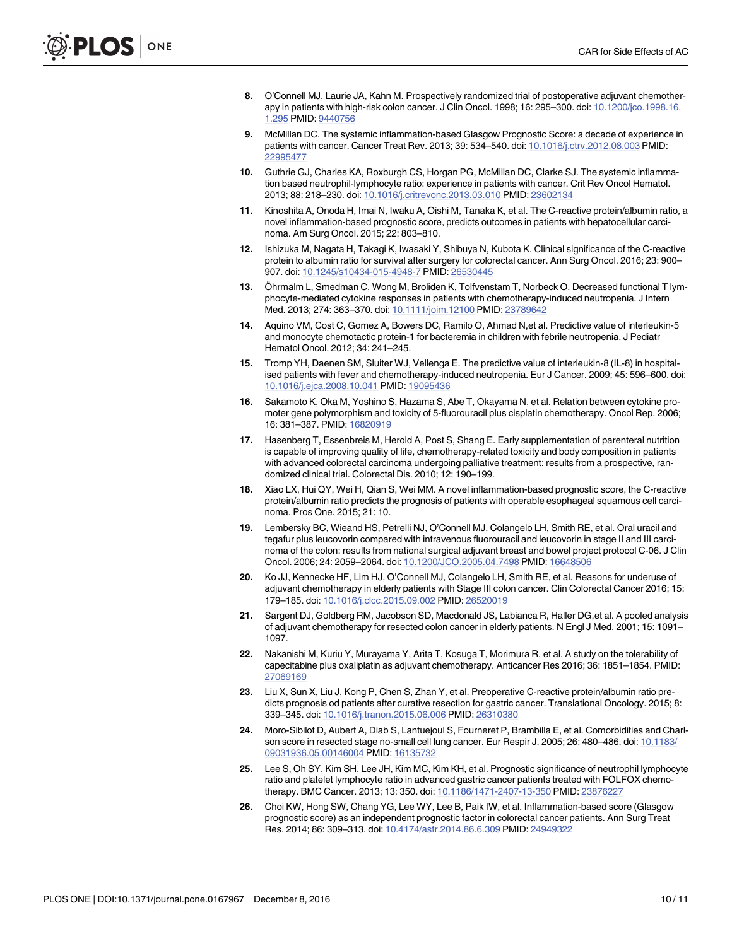- <span id="page-9-0"></span>**[8](#page-1-0).** O'Connell MJ, Laurie JA, Kahn M. Prospectively randomized trial of postoperative adjuvant chemotherapy in patients with high-risk colon cancer. J Clin Oncol. 1998; 16: 295–300. doi: [10.1200/jco.1998.16.](http://dx.doi.org/10.1200/jco.1998.16.1.295) [1.295](http://dx.doi.org/10.1200/jco.1998.16.1.295) PMID: [9440756](http://www.ncbi.nlm.nih.gov/pubmed/9440756)
- **[9](#page-1-0).** McMillan DC. The systemic inflammation-based Glasgow Prognostic Score: a decade of experience in patients with cancer. Cancer Treat Rev. 2013; 39: 534–540. doi: [10.1016/j.ctrv.2012.08.003](http://dx.doi.org/10.1016/j.ctrv.2012.08.003) PMID: [22995477](http://www.ncbi.nlm.nih.gov/pubmed/22995477)
- **[10](#page-1-0).** Guthrie GJ, Charles KA, Roxburgh CS, Horgan PG, McMillan DC, Clarke SJ. The systemic inflammation based neutrophil-lymphocyte ratio: experience in patients with cancer. Crit Rev Oncol Hematol. 2013; 88: 218–230. doi: [10.1016/j.critrevonc.2013.03.010](http://dx.doi.org/10.1016/j.critrevonc.2013.03.010) PMID: [23602134](http://www.ncbi.nlm.nih.gov/pubmed/23602134)
- **[11](#page-1-0).** Kinoshita A, Onoda H, Imai N, Iwaku A, Oishi M, Tanaka K, et al. The C-reactive protein/albumin ratio, a novel inflammation-based prognostic score, predicts outcomes in patients with hepatocellular carcinoma. Am Surg Oncol. 2015; 22: 803–810.
- **[12](#page-1-0).** Ishizuka M, Nagata H, Takagi K, Iwasaki Y, Shibuya N, Kubota K. Clinical significance of the C-reactive protein to albumin ratio for survival after surgery for colorectal cancer. Ann Surg Oncol. 2016; 23: 900– 907. doi: [10.1245/s10434-015-4948-7](http://dx.doi.org/10.1245/s10434-015-4948-7) PMID: [26530445](http://www.ncbi.nlm.nih.gov/pubmed/26530445)
- **[13](#page-1-0).** Öhrmalm L, Smedman C, Wong M, Broliden K, Tolfvenstam T, Norbeck O. Decreased functional T lymphocyte-mediated cytokine responses in patients with chemotherapy-induced neutropenia. J Intern Med. 2013; 274: 363–370. doi: [10.1111/joim.12100](http://dx.doi.org/10.1111/joim.12100) PMID: [23789642](http://www.ncbi.nlm.nih.gov/pubmed/23789642)
- **14.** Aquino VM, Cost C, Gomez A, Bowers DC, Ramilo O, Ahmad N,et al. Predictive value of interleukin-5 and monocyte chemotactic protein-1 for bacteremia in children with febrile neutropenia. J Pediatr Hematol Oncol. 2012; 34: 241–245.
- **15.** Tromp YH, Daenen SM, Sluiter WJ, Vellenga E. The predictive value of interleukin-8 (IL-8) in hospitalised patients with fever and chemotherapy-induced neutropenia. Eur J Cancer. 2009; 45: 596–600. doi: [10.1016/j.ejca.2008.10.041](http://dx.doi.org/10.1016/j.ejca.2008.10.041) PMID: [19095436](http://www.ncbi.nlm.nih.gov/pubmed/19095436)
- **[16](#page-1-0).** Sakamoto K, Oka M, Yoshino S, Hazama S, Abe T, Okayama N, et al. Relation between cytokine promoter gene polymorphism and toxicity of 5-fluorouracil plus cisplatin chemotherapy. Oncol Rep. 2006; 16: 381–387. PMID: [16820919](http://www.ncbi.nlm.nih.gov/pubmed/16820919)
- **[17](#page-1-0).** Hasenberg T, Essenbreis M, Herold A, Post S, Shang E. Early supplementation of parenteral nutrition is capable of improving quality of life, chemotherapy-related toxicity and body composition in patients with advanced colorectal carcinoma undergoing palliative treatment: results from a prospective, randomized clinical trial. Colorectal Dis. 2010; 12: 190–199.
- **[18](#page-2-0).** Xiao LX, Hui QY, Wei H, Qian S, Wei MM. A novel inflammation-based prognostic score, the C-reactive protein/albumin ratio predicts the prognosis of patients with operable esophageal squamous cell carcinoma. Pros One. 2015; 21: 10.
- **[19](#page-4-0).** Lembersky BC, Wieand HS, Petrelli NJ, O'Connell MJ, Colangelo LH, Smith RE, et al. Oral uracil and tegafur plus leucovorin compared with intravenous fluorouracil and leucovorin in stage II and III carcinoma of the colon: results from national surgical adjuvant breast and bowel project protocol C-06. J Clin Oncol. 2006; 24: 2059–2064. doi: [10.1200/JCO.2005.04.7498](http://dx.doi.org/10.1200/JCO.2005.04.7498) PMID: [16648506](http://www.ncbi.nlm.nih.gov/pubmed/16648506)
- **[20](#page-4-0).** Ko JJ, Kennecke HF, Lim HJ, O'Connell MJ, Colangelo LH, Smith RE, et al. Reasons for underuse of adjuvant chemotherapy in elderly patients with Stage III colon cancer. Clin Colorectal Cancer 2016; 15: 179–185. doi: [10.1016/j.clcc.2015.09.002](http://dx.doi.org/10.1016/j.clcc.2015.09.002) PMID: [26520019](http://www.ncbi.nlm.nih.gov/pubmed/26520019)
- **[21](#page-5-0).** Sargent DJ, Goldberg RM, Jacobson SD, Macdonald JS, Labianca R, Haller DG,et al. A pooled analysis of adjuvant chemotherapy for resected colon cancer in elderly patients. N Engl J Med. 2001; 15: 1091– 1097.
- **[22](#page-6-0).** Nakanishi M, Kuriu Y, Murayama Y, Arita T, Kosuga T, Morimura R, et al. A study on the tolerability of capecitabine plus oxaliplatin as adjuvant chemotherapy. Anticancer Res 2016; 36: 1851–1854. PMID: [27069169](http://www.ncbi.nlm.nih.gov/pubmed/27069169)
- **[23](#page-7-0).** Liu X, Sun X, Liu J, Kong P, Chen S, Zhan Y, et al. Preoperative C-reactive protein/albumin ratio predicts prognosis od patients after curative resection for gastric cancer. Translational Oncology. 2015; 8: 339–345. doi: [10.1016/j.tranon.2015.06.006](http://dx.doi.org/10.1016/j.tranon.2015.06.006) PMID: [26310380](http://www.ncbi.nlm.nih.gov/pubmed/26310380)
- **[24](#page-7-0).** Moro-Sibilot D, Aubert A, Diab S, Lantuejoul S, Fourneret P, Brambilla E, et al. Comorbidities and Charlson score in resected stage no-small cell lung cancer. Eur Respir J. 2005; 26: 480–486. doi: [10.1183/](http://dx.doi.org/10.1183/09031936.05.00146004) [09031936.05.00146004](http://dx.doi.org/10.1183/09031936.05.00146004) PMID: [16135732](http://www.ncbi.nlm.nih.gov/pubmed/16135732)
- **[25](#page-7-0).** Lee S, Oh SY, Kim SH, Lee JH, Kim MC, Kim KH, et al. Prognostic significance of neutrophil lymphocyte ratio and platelet lymphocyte ratio in advanced gastric cancer patients treated with FOLFOX chemotherapy. BMC Cancer. 2013; 13: 350. doi: [10.1186/1471-2407-13-350](http://dx.doi.org/10.1186/1471-2407-13-350) PMID: [23876227](http://www.ncbi.nlm.nih.gov/pubmed/23876227)
- **[26](#page-7-0).** Choi KW, Hong SW, Chang YG, Lee WY, Lee B, Paik IW, et al. Inflammation-based score (Glasgow prognostic score) as an independent prognostic factor in colorectal cancer patients. Ann Surg Treat Res. 2014; 86: 309–313. doi: [10.4174/astr.2014.86.6.309](http://dx.doi.org/10.4174/astr.2014.86.6.309) PMID: [24949322](http://www.ncbi.nlm.nih.gov/pubmed/24949322)